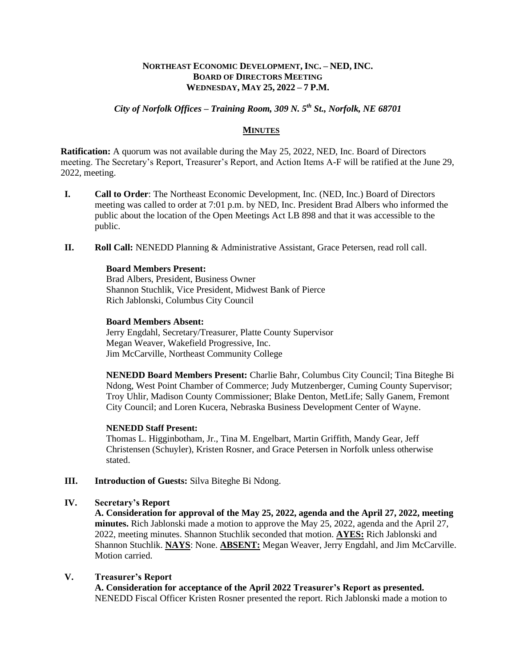## **NORTHEAST ECONOMIC DEVELOPMENT, INC. – NED, INC. BOARD OF DIRECTORS MEETING WEDNESDAY, MAY 25, 2022 – 7 P.M.**

# *City of Norfolk Offices – Training Room, 309 N. 5th St., Norfolk, NE 68701*

### **MINUTES**

**Ratification:** A quorum was not available during the May 25, 2022, NED, Inc. Board of Directors meeting. The Secretary's Report, Treasurer's Report, and Action Items A-F will be ratified at the June 29, 2022, meeting.

- **I. Call to Order**: The Northeast Economic Development, Inc. (NED, Inc.) Board of Directors meeting was called to order at 7:01 p.m. by NED, Inc. President Brad Albers who informed the public about the location of the Open Meetings Act LB 898 and that it was accessible to the public.
- **II. Roll Call:** NENEDD Planning & Administrative Assistant, Grace Petersen, read roll call.

## **Board Members Present:**

Brad Albers, President, Business Owner Shannon Stuchlik, Vice President, Midwest Bank of Pierce Rich Jablonski, Columbus City Council

#### **Board Members Absent:**

Jerry Engdahl, Secretary/Treasurer, Platte County Supervisor Megan Weaver, Wakefield Progressive, Inc. Jim McCarville, Northeast Community College

**NENEDD Board Members Present:** Charlie Bahr, Columbus City Council; Tina Biteghe Bi Ndong, West Point Chamber of Commerce; Judy Mutzenberger, Cuming County Supervisor; Troy Uhlir, Madison County Commissioner; Blake Denton, MetLife; Sally Ganem, Fremont City Council; and Loren Kucera, Nebraska Business Development Center of Wayne.

#### **NENEDD Staff Present:**

Thomas L. Higginbotham, Jr., Tina M. Engelbart, Martin Griffith, Mandy Gear, Jeff Christensen (Schuyler), Kristen Rosner, and Grace Petersen in Norfolk unless otherwise stated.

**III. Introduction of Guests:** Silva Biteghe Bi Ndong.

# **IV. Secretary's Report**

**A. Consideration for approval of the May 25, 2022, agenda and the April 27, 2022, meeting minutes.** Rich Jablonski made a motion to approve the May 25, 2022, agenda and the April 27, 2022, meeting minutes. Shannon Stuchlik seconded that motion. **AYES:** Rich Jablonski and Shannon Stuchlik. **NAYS**: None. **ABSENT:** Megan Weaver, Jerry Engdahl, and Jim McCarville. Motion carried.

#### **V. Treasurer's Report**

**A. Consideration for acceptance of the April 2022 Treasurer's Report as presented.** NENEDD Fiscal Officer Kristen Rosner presented the report. Rich Jablonski made a motion to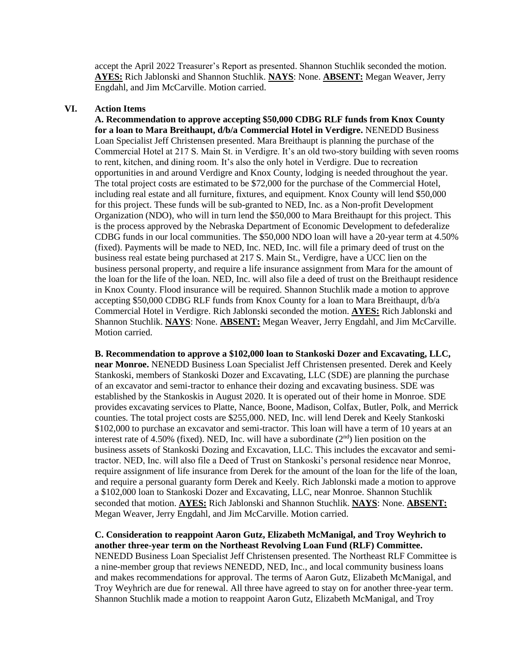accept the April 2022 Treasurer's Report as presented. Shannon Stuchlik seconded the motion. **AYES:** Rich Jablonski and Shannon Stuchlik. **NAYS**: None. **ABSENT:** Megan Weaver, Jerry Engdahl, and Jim McCarville. Motion carried.

## **VI. Action Items**

**A. Recommendation to approve accepting \$50,000 CDBG RLF funds from Knox County for a loan to Mara Breithaupt, d/b/a Commercial Hotel in Verdigre.** NENEDD Business Loan Specialist Jeff Christensen presented. Mara Breithaupt is planning the purchase of the Commercial Hotel at 217 S. Main St. in Verdigre. It's an old two-story building with seven rooms to rent, kitchen, and dining room. It's also the only hotel in Verdigre. Due to recreation opportunities in and around Verdigre and Knox County, lodging is needed throughout the year. The total project costs are estimated to be \$72,000 for the purchase of the Commercial Hotel, including real estate and all furniture, fixtures, and equipment. Knox County will lend \$50,000 for this project. These funds will be sub-granted to NED, Inc. as a Non-profit Development Organization (NDO), who will in turn lend the \$50,000 to Mara Breithaupt for this project. This is the process approved by the Nebraska Department of Economic Development to defederalize CDBG funds in our local communities. The \$50,000 NDO loan will have a 20-year term at 4.50% (fixed). Payments will be made to NED, Inc. NED, Inc. will file a primary deed of trust on the business real estate being purchased at 217 S. Main St., Verdigre, have a UCC lien on the business personal property, and require a life insurance assignment from Mara for the amount of the loan for the life of the loan. NED, Inc. will also file a deed of trust on the Breithaupt residence in Knox County. Flood insurance will be required. Shannon Stuchlik made a motion to approve accepting \$50,000 CDBG RLF funds from Knox County for a loan to Mara Breithaupt, d/b/a Commercial Hotel in Verdigre. Rich Jablonski seconded the motion. **AYES:** Rich Jablonski and Shannon Stuchlik. **NAYS**: None. **ABSENT:** Megan Weaver, Jerry Engdahl, and Jim McCarville. Motion carried.

**B. Recommendation to approve a \$102,000 loan to Stankoski Dozer and Excavating, LLC, near Monroe.** NENEDD Business Loan Specialist Jeff Christensen presented. Derek and Keely Stankoski, members of Stankoski Dozer and Excavating, LLC (SDE) are planning the purchase of an excavator and semi-tractor to enhance their dozing and excavating business. SDE was established by the Stankoskis in August 2020. It is operated out of their home in Monroe. SDE provides excavating services to Platte, Nance, Boone, Madison, Colfax, Butler, Polk, and Merrick counties. The total project costs are \$255,000. NED, Inc. will lend Derek and Keely Stankoski \$102,000 to purchase an excavator and semi-tractor. This loan will have a term of 10 years at an interest rate of 4.50% (fixed). NED, Inc. will have a subordinate  $(2<sup>nd</sup>)$  lien position on the business assets of Stankoski Dozing and Excavation, LLC. This includes the excavator and semitractor. NED, Inc. will also file a Deed of Trust on Stankoski's personal residence near Monroe, require assignment of life insurance from Derek for the amount of the loan for the life of the loan, and require a personal guaranty form Derek and Keely. Rich Jablonski made a motion to approve a \$102,000 loan to Stankoski Dozer and Excavating, LLC, near Monroe. Shannon Stuchlik seconded that motion. **AYES:** Rich Jablonski and Shannon Stuchlik. **NAYS**: None. **ABSENT:** Megan Weaver, Jerry Engdahl, and Jim McCarville. Motion carried.

**C. Consideration to reappoint Aaron Gutz, Elizabeth McManigal, and Troy Weyhrich to another three-year term on the Northeast Revolving Loan Fund (RLF) Committee.** NENEDD Business Loan Specialist Jeff Christensen presented. The Northeast RLF Committee is a nine-member group that reviews NENEDD, NED, Inc., and local community business loans

and makes recommendations for approval. The terms of Aaron Gutz, Elizabeth McManigal, and Troy Weyhrich are due for renewal. All three have agreed to stay on for another three-year term. Shannon Stuchlik made a motion to reappoint Aaron Gutz, Elizabeth McManigal, and Troy